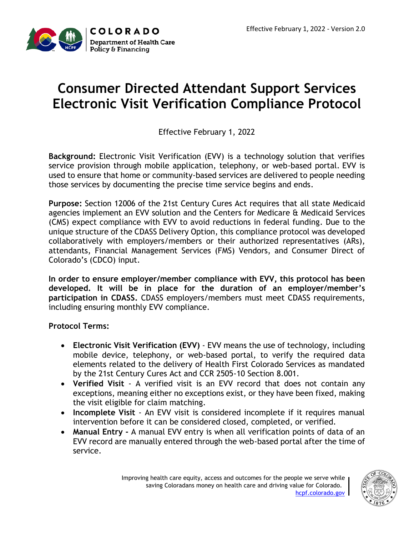

### **Consumer Directed Attendant Support Services Electronic Visit Verification Compliance Protocol**

Effective February 1, 2022

**Background:** Electronic Visit Verification (EVV) is a technology solution that verifies service provision through mobile application, telephony, or web-based portal. EVV is used to ensure that home or community-based services are delivered to people needing those services by documenting the precise time service begins and ends.

**Purpose:** Section 12006 of the 21st Century Cures Act requires that all state Medicaid agencies implement an EVV solution and the Centers for Medicare & Medicaid Services (CMS) expect compliance with EVV to avoid reductions in federal funding. Due to the unique structure of the CDASS Delivery Option, this compliance protocol was developed collaboratively with employers/members or their authorized representatives (ARs), attendants, Financial Management Services (FMS) Vendors, and Consumer Direct of Colorado's (CDCO) input.

**In order to ensure employer/member compliance with EVV, this protocol has been developed. It will be in place for the duration of an employer/member's participation in CDASS.** CDASS employers/members must meet CDASS requirements, including ensuring monthly EVV compliance.

**Protocol Terms:**

- **Electronic Visit Verification (EVV)** EVV means the use of technology, including mobile device, telephony, or web-based portal, to verify the required data elements related to the delivery of Health First Colorado Services as mandated by the 21st Century Cures Act and CCR 2505-10 Section 8.001.
- **Verified Visit** A verified visit is an EVV record that does not contain any exceptions, meaning either no exceptions exist, or they have been fixed, making the visit eligible for claim matching.
- **Incomplete Visit** An EVV visit is considered incomplete if it requires manual intervention before it can be considered closed, completed, or verified.
- **Manual Entry -** A manual EVV entry is when all verification points of data of an EVV record are manually entered through the web-based portal after the time of service.

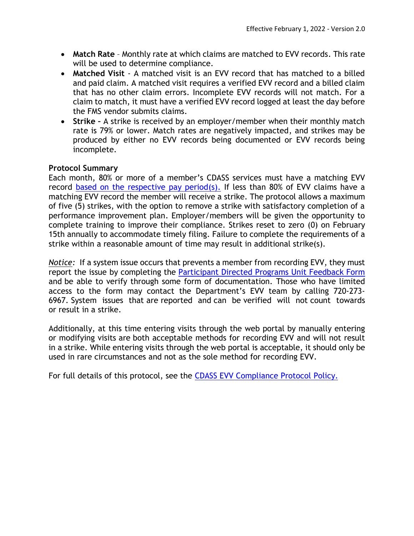- **Match Rate** Monthly rate at which claims are matched to EVV records. This rate will be used to determine compliance.
- **Matched Visit** A matched visit is an EVV record that has matched to a billed and paid claim. A matched visit requires a verified EVV record and a billed claim that has no other claim errors. Incomplete EVV records will not match. For a claim to match, it must have a verified EVV record logged at least the day before the FMS vendor submits claims.
- **Strike –** A strike is received by an employer/member when their monthly match rate is 79% or lower. Match rates are negatively impacted, and strikes may be produced by either no EVV records being documented or EVV records being incomplete.

#### **Protocol Summary**

Each month, 80% or more of a member's CDASS services must have a matching EVV record [based on the respective pay period\(s\).](https://hcpf.colorado.gov/electronic-visit-verification-resources) If less than 80% of EVV claims have a matching EVV record the member will receive a strike. The protocol allows a maximum of five (5) strikes, with the option to remove a strike with satisfactory completion of a performance improvement plan. Employer/members will be given the opportunity to complete training to improve their compliance. Strikes reset to zero (0) on February 15th annually to accommodate timely filing. Failure to complete the requirements of a strike within a reasonable amount of time may result in additional strike(s).

*Notice:* If a system issue occurs that prevents a member from recording EVV, they must report the issue by completing the [Participant Directed Programs Unit Feedback Form](https://docs.google.com/forms/d/e/1FAIpQLScE25NSOiwT-xpjSXalvI6qGqy44ldFqGhwmkHSTAc13Iajcg/viewform) and be able to verify through some form of documentation. Those who have limited access to the form may contact the Department's EVV team by calling 720-273- 6967. System issues that are reported and can be verified will not count towards or result in a strike.

Additionally, at this time entering visits through the web portal by manually entering or modifying visits are both acceptable methods for recording EVV and will not result in a strike. While entering visits through the web portal is acceptable, it should only be used in rare circumstances and not as the sole method for recording EVV.

For full details of this protocol, see the [CDASS EVV Compliance Protocol](https://hcpf.colorado.gov/participant-directed-programs) Policy.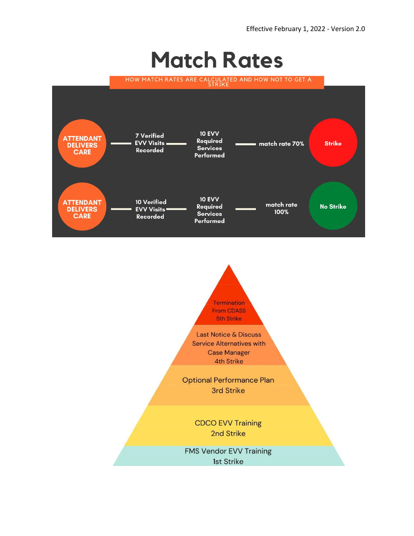# **Match Rates**



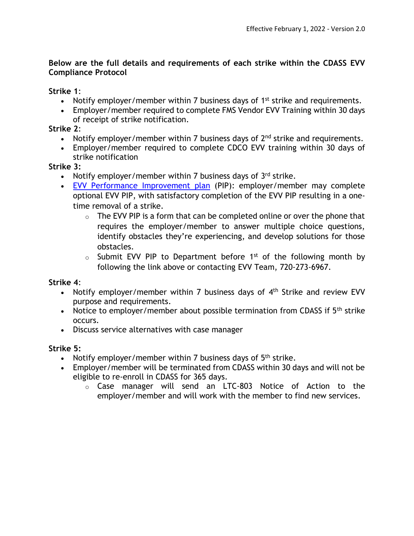#### **Below are the full details and requirements of each strike within the CDASS EVV Compliance Protocol**

**Strike 1**:

- Notify employer/member within 7 business days of  $1<sup>st</sup>$  strike and requirements.
- Employer/member required to complete FMS Vendor EVV Training within 30 days of receipt of strike notification.

#### **Strike 2**:

- Notify employer/member within 7 business days of  $2<sup>nd</sup>$  strike and requirements.
- Employer/member required to complete CDCO EVV training within 30 days of strike notification

#### **Strike 3:**

- Notify employer/member within 7 business days of  $3<sup>rd</sup>$  strike.
- [EVV Performance Improvement plan](https://docs.google.com/forms/d/e/1FAIpQLSdQmnTh-eglKeynpLO6Y7bjRH9IxT7ATAkfeTKsswCOna1h-A/viewform?usp=sf_link) (PIP): employer/member may complete optional EVV PIP, with satisfactory completion of the EVV PIP resulting in a onetime removal of a strike.
	- $\circ$  The EVV PIP is a form that can be completed online or over the phone that requires the employer/member to answer multiple choice questions, identify obstacles they're experiencing, and develop solutions for those obstacles.
	- $\circ$  Submit EVV PIP to Department before 1<sup>st</sup> of the following month by following the link above or contacting EVV Team, 720-273-6967.

**Strike 4**:

- Notify employer/member within 7 business days of  $4<sup>th</sup>$  Strike and review EVV purpose and requirements.
- Notice to employer/member about possible termination from CDASS if  $5<sup>th</sup>$  strike occurs.
- Discuss service alternatives with case manager

#### **Strike 5:**

- Notify employer/member within 7 business days of  $5<sup>th</sup>$  strike.
- Employer/member will be terminated from CDASS within 30 days and will not be eligible to re-enroll in CDASS for 365 days.
	- o Case manager will send an LTC-803 Notice of Action to the employer/member and will work with the member to find new services.